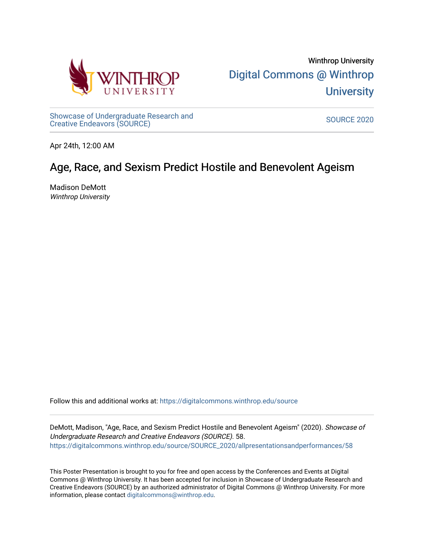

[Showcase of Undergraduate Research and](https://digitalcommons.winthrop.edu/source) Showcase of Ondergraduate Research and Source Source Source 2020<br>Creative Endeavors (SOURCE)

Apr 24th, 12:00 AM

### Age, Race, and Sexism Predict Hostile and Benevolent Ageism

Madison DeMott Winthrop University

Follow this and additional works at: [https://digitalcommons.winthrop.edu/source](https://digitalcommons.winthrop.edu/source?utm_source=digitalcommons.winthrop.edu%2Fsource%2FSOURCE_2020%2Fallpresentationsandperformances%2F58&utm_medium=PDF&utm_campaign=PDFCoverPages)

DeMott, Madison, "Age, Race, and Sexism Predict Hostile and Benevolent Ageism" (2020). Showcase of Undergraduate Research and Creative Endeavors (SOURCE). 58. [https://digitalcommons.winthrop.edu/source/SOURCE\\_2020/allpresentationsandperformances/58](https://digitalcommons.winthrop.edu/source/SOURCE_2020/allpresentationsandperformances/58?utm_source=digitalcommons.winthrop.edu%2Fsource%2FSOURCE_2020%2Fallpresentationsandperformances%2F58&utm_medium=PDF&utm_campaign=PDFCoverPages) 

This Poster Presentation is brought to you for free and open access by the Conferences and Events at Digital Commons @ Winthrop University. It has been accepted for inclusion in Showcase of Undergraduate Research and Creative Endeavors (SOURCE) by an authorized administrator of Digital Commons @ Winthrop University. For more information, please contact [digitalcommons@winthrop.edu.](mailto:digitalcommons@winthrop.edu)